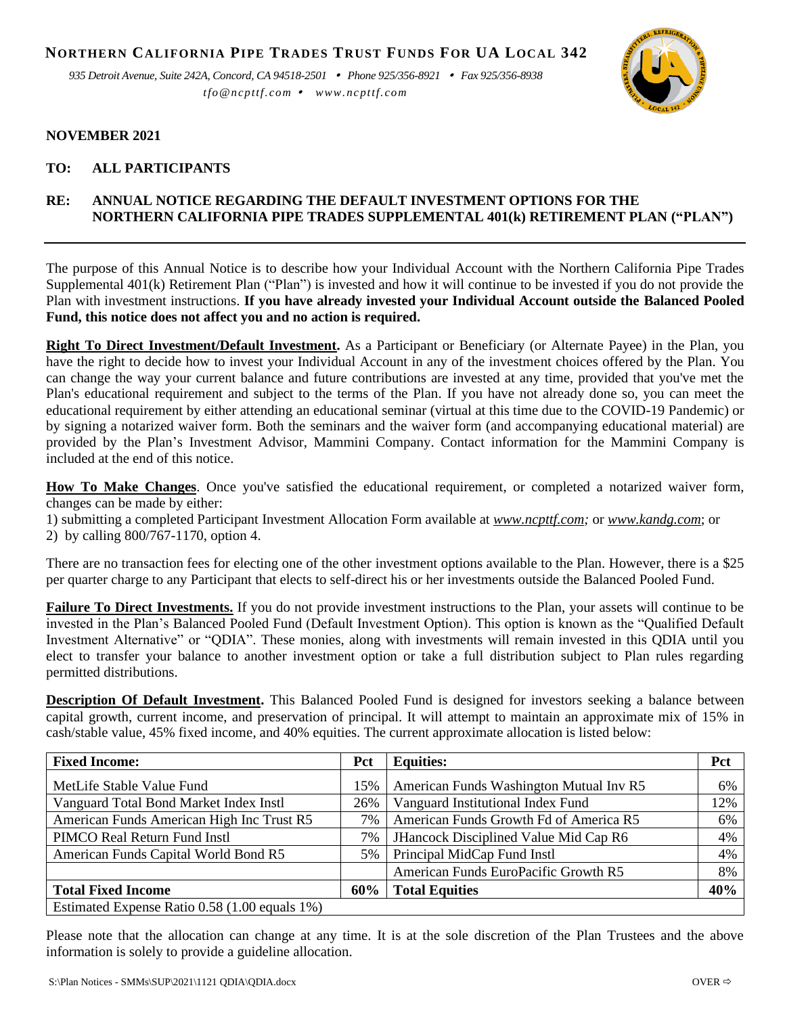**NORTHERN CALIFORNIA PIPE TRADES TRUST FUNDS FOR UA LOCAL 342**

*935 Detroit Avenue, Suite 242A, Concord, CA 94518-2501 Phone 925/356-8921 Fax 925/356-8938 tfo@ncpttf.com www.ncpttf.com*



## **NOVEMBER 2021**

## **TO: ALL PARTICIPANTS**

## **RE: ANNUAL NOTICE REGARDING THE DEFAULT INVESTMENT OPTIONS FOR THE NORTHERN CALIFORNIA PIPE TRADES SUPPLEMENTAL 401(k) RETIREMENT PLAN ("PLAN")**

The purpose of this Annual Notice is to describe how your Individual Account with the Northern California Pipe Trades Supplemental 401(k) Retirement Plan ("Plan") is invested and how it will continue to be invested if you do not provide the Plan with investment instructions. **If you have already invested your Individual Account outside the Balanced Pooled Fund, this notice does not affect you and no action is required.**

**Right To Direct Investment/Default Investment.** As a Participant or Beneficiary (or Alternate Payee) in the Plan, you have the right to decide how to invest your Individual Account in any of the investment choices offered by the Plan. You can change the way your current balance and future contributions are invested at any time, provided that you've met the Plan's educational requirement and subject to the terms of the Plan. If you have not already done so, you can meet the educational requirement by either attending an educational seminar (virtual at this time due to the COVID-19 Pandemic) or by signing a notarized waiver form. Both the seminars and the waiver form (and accompanying educational material) are provided by the Plan's Investment Advisor, Mammini Company. Contact information for the Mammini Company is included at the end of this notice.

**How To Make Changes**. Once you've satisfied the educational requirement, or completed a notarized waiver form, changes can be made by either:

- 1) submitting a completed Participant Investment Allocation Form available at *[www.ncpttf.com;](http://www.ncpttf.com/)* or *[www.kandg.com](http://www.kandg.com/)*; or
- 2) by calling 800/767-1170, option 4.

There are no transaction fees for electing one of the other investment options available to the Plan. However, there is a \$25 per quarter charge to any Participant that elects to self-direct his or her investments outside the Balanced Pooled Fund.

**Failure To Direct Investments.** If you do not provide investment instructions to the Plan, your assets will continue to be invested in the Plan's Balanced Pooled Fund (Default Investment Option). This option is known as the "Qualified Default Investment Alternative" or "QDIA". These monies, along with investments will remain invested in this QDIA until you elect to transfer your balance to another investment option or take a full distribution subject to Plan rules regarding permitted distributions.

**Description Of Default Investment.** This Balanced Pooled Fund is designed for investors seeking a balance between capital growth, current income, and preservation of principal. It will attempt to maintain an approximate mix of 15% in cash/stable value, 45% fixed income, and 40% equities. The current approximate allocation is listed below:

| <b>Fixed Income:</b>                          | Pct | <b>Equities:</b>                        | <b>Pct</b> |
|-----------------------------------------------|-----|-----------------------------------------|------------|
| MetLife Stable Value Fund                     | 15% | American Funds Washington Mutual Inv R5 | 6%         |
| Vanguard Total Bond Market Index Instl        | 26% | Vanguard Institutional Index Fund       | 12%        |
| American Funds American High Inc Trust R5     | 7%  | American Funds Growth Fd of America R5  | 6%         |
| PIMCO Real Return Fund Instl                  | 7%  | JHancock Disciplined Value Mid Cap R6   | 4%         |
| American Funds Capital World Bond R5          | 5%  | Principal MidCap Fund Instl             | 4%         |
|                                               |     | American Funds EuroPacific Growth R5    | 8%         |
| <b>Total Fixed Income</b>                     | 60% | <b>Total Equities</b>                   | 40%        |
| Estimated Expense Ratio 0.58 (1.00 equals 1%) |     |                                         |            |

Please note that the allocation can change at any time. It is at the sole discretion of the Plan Trustees and the above information is solely to provide a guideline allocation.